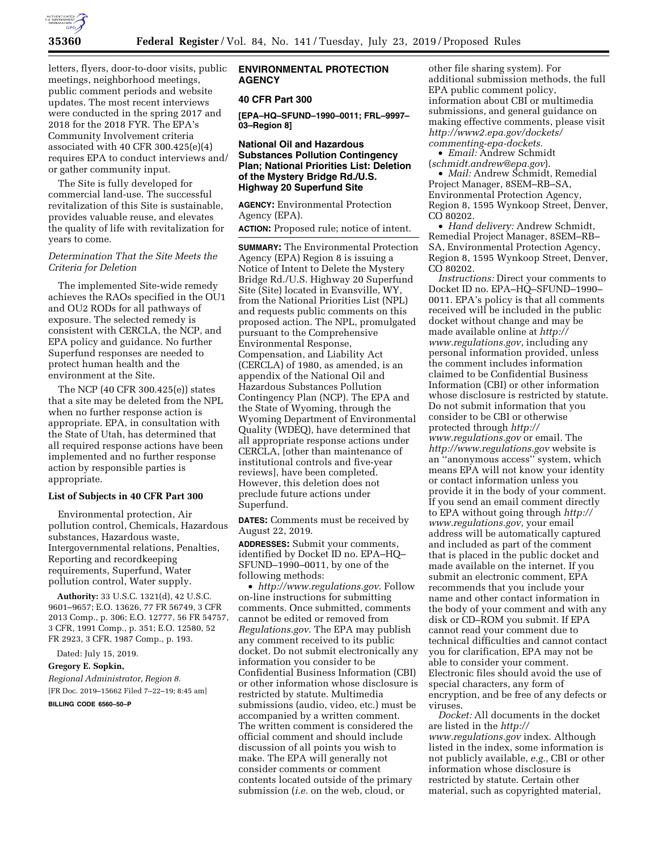

letters, flyers, door-to-door visits, public meetings, neighborhood meetings, public comment periods and website updates. The most recent interviews were conducted in the spring 2017 and 2018 for the 2018 FYR. The EPA's Community Involvement criteria associated with 40 CFR 300.425(e)(4) requires EPA to conduct interviews and/ or gather community input.

The Site is fully developed for commercial land-use. The successful revitalization of this Site is sustainable, provides valuable reuse, and elevates the quality of life with revitalization for years to come.

# *Determination That the Site Meets the Criteria for Deletion*

The implemented Site-wide remedy achieves the RAOs specified in the OU1 and OU2 RODs for all pathways of exposure. The selected remedy is consistent with CERCLA, the NCP, and EPA policy and guidance. No further Superfund responses are needed to protect human health and the environment at the Site.

The NCP (40 CFR 300.425(e)) states that a site may be deleted from the NPL when no further response action is appropriate. EPA, in consultation with the State of Utah, has determined that all required response actions have been implemented and no further response action by responsible parties is appropriate.

# **List of Subjects in 40 CFR Part 300**

Environmental protection, Air pollution control, Chemicals, Hazardous substances, Hazardous waste, Intergovernmental relations, Penalties, Reporting and recordkeeping requirements, Superfund, Water pollution control, Water supply.

**Authority:** 33 U.S.C. 1321(d), 42 U.S.C. 9601–9657; E.O. 13626, 77 FR 56749, 3 CFR 2013 Comp., p. 306; E.O. 12777, 56 FR 54757, 3 CFR, 1991 Comp., p. 351; E.O. 12580, 52 FR 2923, 3 CFR, 1987 Comp., p. 193.

Dated: July 15, 2019.

**Gregory E. Sopkin,** 

*Regional Administrator, Region 8.*  [FR Doc. 2019–15662 Filed 7–22–19; 8:45 am]

**BILLING CODE 6560–50–P** 

# **ENVIRONMENTAL PROTECTION AGENCY**

# **40 CFR Part 300**

**[EPA–HQ–SFUND–1990–0011; FRL–9997– 03–Region 8]** 

## **National Oil and Hazardous Substances Pollution Contingency Plan; National Priorities List: Deletion of the Mystery Bridge Rd./U.S. Highway 20 Superfund Site**

**AGENCY:** Environmental Protection Agency (EPA).

**ACTION:** Proposed rule; notice of intent.

**SUMMARY:** The Environmental Protection Agency (EPA) Region 8 is issuing a Notice of Intent to Delete the Mystery Bridge Rd./U.S. Highway 20 Superfund Site (Site) located in Evansville, WY, from the National Priorities List (NPL) and requests public comments on this proposed action. The NPL, promulgated pursuant to the Comprehensive Environmental Response, Compensation, and Liability Act (CERCLA) of 1980, as amended, is an appendix of the National Oil and Hazardous Substances Pollution Contingency Plan (NCP). The EPA and the State of Wyoming, through the Wyoming Department of Environmental Quality (WDEQ), have determined that all appropriate response actions under CERCLA, [other than maintenance of institutional controls and five-year reviews], have been completed. However, this deletion does not preclude future actions under Superfund.

**DATES:** Comments must be received by August 22, 2019.

**ADDRESSES:** Submit your comments, identified by Docket ID no. EPA–HQ– SFUND–1990–0011, by one of the following methods:

• *<http://www.regulations.gov>*. Follow on-line instructions for submitting comments. Once submitted, comments cannot be edited or removed from *Regulations.gov*. The EPA may publish any comment received to its public docket. Do not submit electronically any information you consider to be Confidential Business Information (CBI) or other information whose disclosure is restricted by statute. Multimedia submissions (audio, video, etc.) must be accompanied by a written comment. The written comment is considered the official comment and should include discussion of all points you wish to make. The EPA will generally not consider comments or comment contents located outside of the primary submission (*i.e.* on the web, cloud, or

other file sharing system). For additional submission methods, the full EPA public comment policy, information about CBI or multimedia submissions, and general guidance on making effective comments, please visit *[http://www2.epa.gov/dockets/](http://www2.epa.gov/dockets/commenting-epa-dockets)  [commenting-epa-dockets.](http://www2.epa.gov/dockets/commenting-epa-dockets)* 

• *Email:* Andrew Schmidt (*[schmidt.andrew@epa.gov](mailto:schmidt.andrew@epa.gov)*).

• *Mail:* Andrew Schmidt, Remedial Project Manager, 8SEM–RB–SA, Environmental Protection Agency, Region 8, 1595 Wynkoop Street, Denver, CO 80202.

• *Hand delivery:* Andrew Schmidt, Remedial Project Manager, 8SEM–RB– SA, Environmental Protection Agency, Region 8, 1595 Wynkoop Street, Denver, CO 80202.

*Instructions:* Direct your comments to Docket ID no. EPA–HQ–SFUND–1990– 0011. EPA's policy is that all comments received will be included in the public docket without change and may be made available online at *[http://](http://www.regulations.gov) [www.regulations.gov,](http://www.regulations.gov)* including any personal information provided, unless the comment includes information claimed to be Confidential Business Information (CBI) or other information whose disclosure is restricted by statute. Do not submit information that you consider to be CBI or otherwise protected through *[http://](http://www.regulations.gov) [www.regulations.gov](http://www.regulations.gov)* or email. The *<http://www.regulations.gov>* website is an ''anonymous access'' system, which means EPA will not know your identity or contact information unless you provide it in the body of your comment. If you send an email comment directly to EPA without going through *[http://](http://www.regulations.gov) [www.regulations.gov,](http://www.regulations.gov)* your email address will be automatically captured and included as part of the comment that is placed in the public docket and made available on the internet. If you submit an electronic comment, EPA recommends that you include your name and other contact information in the body of your comment and with any disk or CD–ROM you submit. If EPA cannot read your comment due to technical difficulties and cannot contact you for clarification, EPA may not be able to consider your comment. Electronic files should avoid the use of special characters, any form of encryption, and be free of any defects or viruses.

*Docket:* All documents in the docket are listed in the *[http://](http://www.regulations.gov) [www.regulations.gov](http://www.regulations.gov)* index. Although listed in the index, some information is not publicly available, *e.g.,* CBI or other information whose disclosure is restricted by statute. Certain other material, such as copyrighted material,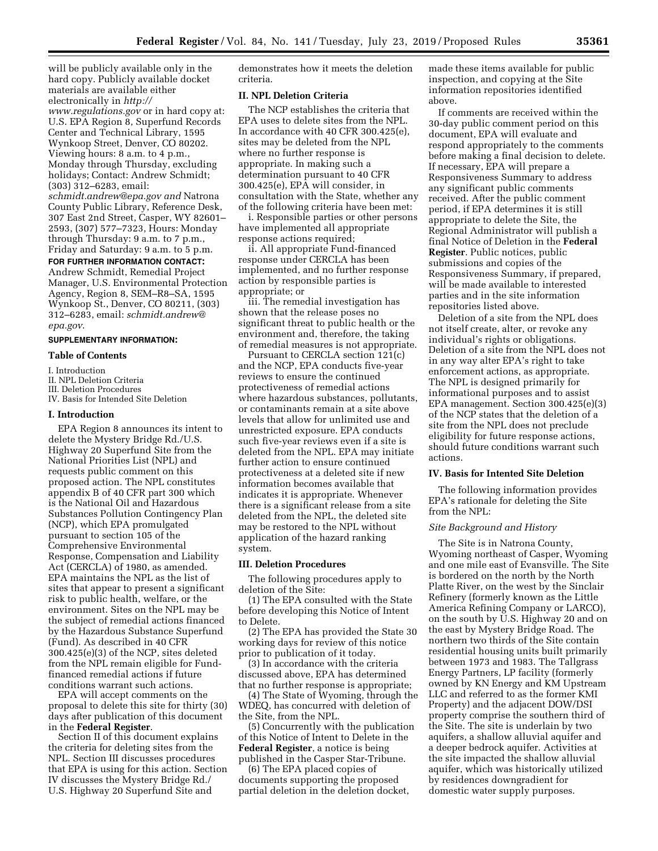will be publicly available only in the hard copy. Publicly available docket materials are available either electronically in *[http://](http://www.regulations.gov) [www.regulations.gov](http://www.regulations.gov)* or in hard copy at:

U.S. EPA Region 8, Superfund Records Center and Technical Library, 1595 Wynkoop Street, Denver, CO 80202. Viewing hours: 8 a.m. to 4 p.m., Monday through Thursday, excluding holidays; Contact: Andrew Schmidt; (303) 312–6283, email:

*[schmidt.andrew@epa.gov](mailto:schmidt.andrew@epa.gov) and* Natrona County Public Library, Reference Desk, 307 East 2nd Street, Casper, WY 82601– 2593, (307) 577–7323, Hours: Monday through Thursday: 9 a.m. to 7 p.m., Friday and Saturday: 9 a.m. to 5 p.m.

#### **FOR FURTHER INFORMATION CONTACT:**

Andrew Schmidt, Remedial Project Manager, U.S. Environmental Protection Agency, Region 8, SEM–R8–SA, 1595 Wynkoop St., Denver, CO 80211, (303) 312–6283, email: *[schmidt.andrew@](mailto:schmidt.andrew@epa.gov) [epa.gov](mailto:schmidt.andrew@epa.gov)*.

### **SUPPLEMENTARY INFORMATION:**

#### **Table of Contents**

I. Introduction

II. NPL Deletion Criteria

III. Deletion Procedures

IV. Basis for Intended Site Deletion

## **I. Introduction**

EPA Region 8 announces its intent to delete the Mystery Bridge Rd./U.S. Highway 20 Superfund Site from the National Priorities List (NPL) and requests public comment on this proposed action. The NPL constitutes appendix B of 40 CFR part 300 which is the National Oil and Hazardous Substances Pollution Contingency Plan (NCP), which EPA promulgated pursuant to section 105 of the Comprehensive Environmental Response, Compensation and Liability Act (CERCLA) of 1980, as amended. EPA maintains the NPL as the list of sites that appear to present a significant risk to public health, welfare, or the environment. Sites on the NPL may be the subject of remedial actions financed by the Hazardous Substance Superfund (Fund). As described in 40 CFR 300.425(e)(3) of the NCP, sites deleted from the NPL remain eligible for Fundfinanced remedial actions if future conditions warrant such actions.

EPA will accept comments on the proposal to delete this site for thirty (30) days after publication of this document in the **Federal Register**.

Section II of this document explains the criteria for deleting sites from the NPL. Section III discusses procedures that EPA is using for this action. Section IV discusses the Mystery Bridge Rd./ U.S. Highway 20 Superfund Site and

demonstrates how it meets the deletion criteria.

### **II. NPL Deletion Criteria**

The NCP establishes the criteria that EPA uses to delete sites from the NPL. In accordance with 40 CFR 300.425(e), sites may be deleted from the NPL where no further response is appropriate. In making such a determination pursuant to 40 CFR 300.425(e), EPA will consider, in consultation with the State, whether any of the following criteria have been met:

i. Responsible parties or other persons have implemented all appropriate response actions required;

ii. All appropriate Fund-financed response under CERCLA has been implemented, and no further response action by responsible parties is appropriate; or

iii. The remedial investigation has shown that the release poses no significant threat to public health or the environment and, therefore, the taking of remedial measures is not appropriate.

Pursuant to CERCLA section 121(c) and the NCP, EPA conducts five-year reviews to ensure the continued protectiveness of remedial actions where hazardous substances, pollutants, or contaminants remain at a site above levels that allow for unlimited use and unrestricted exposure. EPA conducts such five-year reviews even if a site is deleted from the NPL. EPA may initiate further action to ensure continued protectiveness at a deleted site if new information becomes available that indicates it is appropriate. Whenever there is a significant release from a site deleted from the NPL, the deleted site may be restored to the NPL without application of the hazard ranking system.

### **III. Deletion Procedures**

The following procedures apply to deletion of the Site:

(1) The EPA consulted with the State before developing this Notice of Intent to Delete.

(2) The EPA has provided the State 30 working days for review of this notice prior to publication of it today.

(3) In accordance with the criteria discussed above, EPA has determined that no further response is appropriate;

(4) The State of Wyoming, through the WDEQ, has concurred with deletion of the Site, from the NPL.

(5) Concurrently with the publication of this Notice of Intent to Delete in the **Federal Register**, a notice is being published in the Casper Star-Tribune.

(6) The EPA placed copies of documents supporting the proposed partial deletion in the deletion docket,

made these items available for public inspection, and copying at the Site information repositories identified above.

If comments are received within the 30-day public comment period on this document, EPA will evaluate and respond appropriately to the comments before making a final decision to delete. If necessary, EPA will prepare a Responsiveness Summary to address any significant public comments received. After the public comment period, if EPA determines it is still appropriate to delete the Site, the Regional Administrator will publish a final Notice of Deletion in the **Federal Register**. Public notices, public submissions and copies of the Responsiveness Summary, if prepared, will be made available to interested parties and in the site information repositories listed above.

Deletion of a site from the NPL does not itself create, alter, or revoke any individual's rights or obligations. Deletion of a site from the NPL does not in any way alter EPA's right to take enforcement actions, as appropriate. The NPL is designed primarily for informational purposes and to assist EPA management. Section 300.425(e)(3) of the NCP states that the deletion of a site from the NPL does not preclude eligibility for future response actions, should future conditions warrant such actions.

### **IV. Basis for Intented Site Deletion**

The following information provides EPA's rationale for deleting the Site from the NPL:

### *Site Background and History*

The Site is in Natrona County, Wyoming northeast of Casper, Wyoming and one mile east of Evansville. The Site is bordered on the north by the North Platte River, on the west by the Sinclair Refinery (formerly known as the Little America Refining Company or LARCO), on the south by U.S. Highway 20 and on the east by Mystery Bridge Road. The northern two thirds of the Site contain residential housing units built primarily between 1973 and 1983. The Tallgrass Energy Partners, LP facility (formerly owned by KN Energy and KM Upstream LLC and referred to as the former KMI Property) and the adjacent DOW/DSI property comprise the southern third of the Site. The site is underlain by two aquifers, a shallow alluvial aquifer and a deeper bedrock aquifer. Activities at the site impacted the shallow alluvial aquifer, which was historically utilized by residences downgradient for domestic water supply purposes.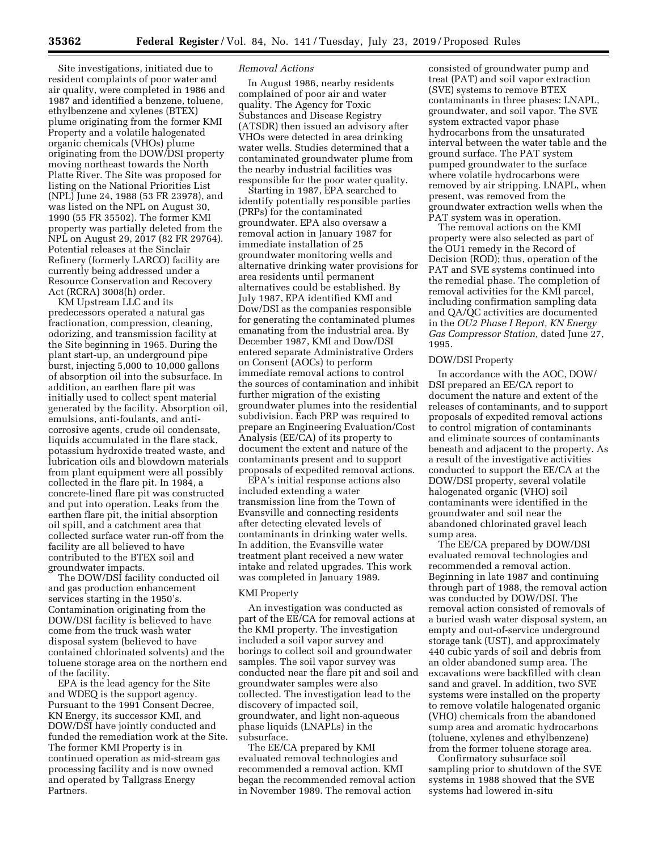Site investigations, initiated due to resident complaints of poor water and air quality, were completed in 1986 and 1987 and identified a benzene, toluene, ethylbenzene and xylenes (BTEX) plume originating from the former KMI Property and a volatile halogenated organic chemicals (VHOs) plume originating from the DOW/DSI property moving northeast towards the North Platte River. The Site was proposed for listing on the National Priorities List (NPL) June 24, 1988 (53 FR 23978), and was listed on the NPL on August 30, 1990 (55 FR 35502). The former KMI property was partially deleted from the NPL on August 29, 2017 (82 FR 29764). Potential releases at the Sinclair Refinery (formerly LARCO) facility are currently being addressed under a Resource Conservation and Recovery Act (RCRA) 3008(h) order.

KM Upstream LLC and its predecessors operated a natural gas fractionation, compression, cleaning, odorizing, and transmission facility at the Site beginning in 1965. During the plant start-up, an underground pipe burst, injecting 5,000 to 10,000 gallons of absorption oil into the subsurface. In addition, an earthen flare pit was initially used to collect spent material generated by the facility. Absorption oil, emulsions, anti-foulants, and anticorrosive agents, crude oil condensate, liquids accumulated in the flare stack, potassium hydroxide treated waste, and lubrication oils and blowdown materials from plant equipment were all possibly collected in the flare pit. In 1984, a concrete-lined flare pit was constructed and put into operation. Leaks from the earthen flare pit, the initial absorption oil spill, and a catchment area that collected surface water run-off from the facility are all believed to have contributed to the BTEX soil and groundwater impacts.

The DOW/DSI facility conducted oil and gas production enhancement services starting in the 1950's. Contamination originating from the DOW/DSI facility is believed to have come from the truck wash water disposal system (believed to have contained chlorinated solvents) and the toluene storage area on the northern end of the facility.

EPA is the lead agency for the Site and WDEQ is the support agency. Pursuant to the 1991 Consent Decree, KN Energy, its successor KMI, and DOW/DSI have jointly conducted and funded the remediation work at the Site. The former KMI Property is in continued operation as mid-stream gas processing facility and is now owned and operated by Tallgrass Energy Partners.

### *Removal Actions*

In August 1986, nearby residents complained of poor air and water quality. The Agency for Toxic Substances and Disease Registry (ATSDR) then issued an advisory after VHOs were detected in area drinking water wells. Studies determined that a contaminated groundwater plume from the nearby industrial facilities was responsible for the poor water quality.

Starting in 1987, EPA searched to identify potentially responsible parties (PRPs) for the contaminated groundwater. EPA also oversaw a removal action in January 1987 for immediate installation of 25 groundwater monitoring wells and alternative drinking water provisions for area residents until permanent alternatives could be established. By July 1987, EPA identified KMI and Dow/DSI as the companies responsible for generating the contaminated plumes emanating from the industrial area. By December 1987, KMI and Dow/DSI entered separate Administrative Orders on Consent (AOCs) to perform immediate removal actions to control the sources of contamination and inhibit further migration of the existing groundwater plumes into the residential subdivision. Each PRP was required to prepare an Engineering Evaluation/Cost Analysis (EE/CA) of its property to document the extent and nature of the contaminants present and to support proposals of expedited removal actions.

EPA's initial response actions also included extending a water transmission line from the Town of Evansville and connecting residents after detecting elevated levels of contaminants in drinking water wells. In addition, the Evansville water treatment plant received a new water intake and related upgrades. This work was completed in January 1989.

### KMI Property

An investigation was conducted as part of the EE/CA for removal actions at the KMI property. The investigation included a soil vapor survey and borings to collect soil and groundwater samples. The soil vapor survey was conducted near the flare pit and soil and groundwater samples were also collected. The investigation lead to the discovery of impacted soil, groundwater, and light non-aqueous phase liquids (LNAPLs) in the subsurface.

The EE/CA prepared by KMI evaluated removal technologies and recommended a removal action. KMI began the recommended removal action in November 1989. The removal action

consisted of groundwater pump and treat (PAT) and soil vapor extraction (SVE) systems to remove BTEX contaminants in three phases: LNAPL, groundwater, and soil vapor. The SVE system extracted vapor phase hydrocarbons from the unsaturated interval between the water table and the ground surface. The PAT system pumped groundwater to the surface where volatile hydrocarbons were removed by air stripping. LNAPL, when present, was removed from the groundwater extraction wells when the PAT system was in operation.

The removal actions on the KMI property were also selected as part of the OU1 remedy in the Record of Decision (ROD); thus, operation of the PAT and SVE systems continued into the remedial phase. The completion of removal activities for the KMI parcel, including confirmation sampling data and QA/QC activities are documented in the *OU2 Phase I Report, KN Energy Gas Compressor Station,* dated June 27, 1995.

# DOW/DSI Property

In accordance with the AOC, DOW/ DSI prepared an EE/CA report to document the nature and extent of the releases of contaminants, and to support proposals of expedited removal actions to control migration of contaminants and eliminate sources of contaminants beneath and adjacent to the property. As a result of the investigative activities conducted to support the EE/CA at the DOW/DSI property, several volatile halogenated organic (VHO) soil contaminants were identified in the groundwater and soil near the abandoned chlorinated gravel leach sump area.

The EE/CA prepared by DOW/DSI evaluated removal technologies and recommended a removal action. Beginning in late 1987 and continuing through part of 1988, the removal action was conducted by DOW/DSI. The removal action consisted of removals of a buried wash water disposal system, an empty and out-of-service underground storage tank (UST), and approximately 440 cubic yards of soil and debris from an older abandoned sump area. The excavations were backfilled with clean sand and gravel. In addition, two SVE systems were installed on the property to remove volatile halogenated organic (VHO) chemicals from the abandoned sump area and aromatic hydrocarbons (toluene, xylenes and ethylbenzene) from the former toluene storage area.

Confirmatory subsurface soil sampling prior to shutdown of the SVE systems in 1988 showed that the SVE systems had lowered in-situ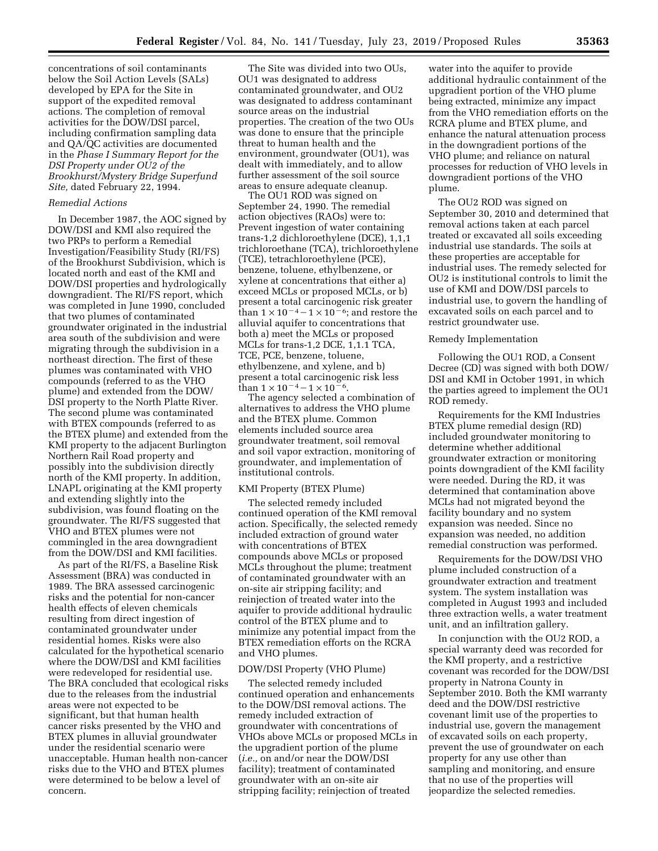concentrations of soil contaminants below the Soil Action Levels (SALs) developed by EPA for the Site in support of the expedited removal actions. The completion of removal activities for the DOW/DSI parcel, including confirmation sampling data and QA/QC activities are documented in the *Phase I Summary Report for the DSI Property under OU2 of the Brookhurst/Mystery Bridge Superfund Site,* dated February 22, 1994.

#### *Remedial Actions*

In December 1987, the AOC signed by DOW/DSI and KMI also required the two PRPs to perform a Remedial Investigation/Feasibility Study (RI/FS) of the Brookhurst Subdivision, which is located north and east of the KMI and DOW/DSI properties and hydrologically downgradient. The RI/FS report, which was completed in June 1990, concluded that two plumes of contaminated groundwater originated in the industrial area south of the subdivision and were migrating through the subdivision in a northeast direction. The first of these plumes was contaminated with VHO compounds (referred to as the VHO plume) and extended from the DOW/ DSI property to the North Platte River. The second plume was contaminated with BTEX compounds (referred to as the BTEX plume) and extended from the KMI property to the adjacent Burlington Northern Rail Road property and possibly into the subdivision directly north of the KMI property. In addition, LNAPL originating at the KMI property and extending slightly into the subdivision, was found floating on the groundwater. The RI/FS suggested that VHO and BTEX plumes were not commingled in the area downgradient from the DOW/DSI and KMI facilities.

As part of the RI/FS, a Baseline Risk Assessment (BRA) was conducted in 1989. The BRA assessed carcinogenic risks and the potential for non-cancer health effects of eleven chemicals resulting from direct ingestion of contaminated groundwater under residential homes. Risks were also calculated for the hypothetical scenario where the DOW/DSI and KMI facilities were redeveloped for residential use. The BRA concluded that ecological risks due to the releases from the industrial areas were not expected to be significant, but that human health cancer risks presented by the VHO and BTEX plumes in alluvial groundwater under the residential scenario were unacceptable. Human health non-cancer risks due to the VHO and BTEX plumes were determined to be below a level of concern.

The Site was divided into two OUs, OU1 was designated to address contaminated groundwater, and OU2 was designated to address contaminant source areas on the industrial properties. The creation of the two OUs was done to ensure that the principle threat to human health and the environment, groundwater (OU1), was dealt with immediately, and to allow further assessment of the soil source areas to ensure adequate cleanup.

The OU1 ROD was signed on September 24, 1990. The remedial action objectives (RAOs) were to: Prevent ingestion of water containing trans-1,2 dichloroethylene (DCE), 1,1,1 trichloroethane (TCA), trichloroethylene (TCE), tetrachloroethylene (PCE), benzene, toluene, ethylbenzene, or xylene at concentrations that either a) exceed MCLs or proposed MCLs, or b) present a total carcinogenic risk greater than  $1 \times 10^{-4} - 1 \times 10^{-6}$ ; and restore the alluvial aquifer to concentrations that both a) meet the MCLs or proposed MCLs for trans-1,2 DCE, 1,1.1 TCA, TCE, PCE, benzene, toluene, ethylbenzene, and xylene, and b) present a total carcinogenic risk less than  $1 \times 10^{-4} - 1 \times 10^{-6}$ .

The agency selected a combination of alternatives to address the VHO plume and the BTEX plume. Common elements included source area groundwater treatment, soil removal and soil vapor extraction, monitoring of groundwater, and implementation of institutional controls.

### KMI Property (BTEX Plume)

The selected remedy included continued operation of the KMI removal action. Specifically, the selected remedy included extraction of ground water with concentrations of BTEX compounds above MCLs or proposed MCLs throughout the plume; treatment of contaminated groundwater with an on-site air stripping facility; and reinjection of treated water into the aquifer to provide additional hydraulic control of the BTEX plume and to minimize any potential impact from the BTEX remediation efforts on the RCRA and VHO plumes.

### DOW/DSI Property (VHO Plume)

The selected remedy included continued operation and enhancements to the DOW/DSI removal actions. The remedy included extraction of groundwater with concentrations of VHOs above MCLs or proposed MCLs in the upgradient portion of the plume (*i.e.,* on and/or near the DOW/DSI facility); treatment of contaminated groundwater with an on-site air stripping facility; reinjection of treated

water into the aquifer to provide additional hydraulic containment of the upgradient portion of the VHO plume being extracted, minimize any impact from the VHO remediation efforts on the RCRA plume and BTEX plume, and enhance the natural attenuation process in the downgradient portions of the VHO plume; and reliance on natural processes for reduction of VHO levels in downgradient portions of the VHO plume.

The OU2 ROD was signed on September 30, 2010 and determined that removal actions taken at each parcel treated or excavated all soils exceeding industrial use standards. The soils at these properties are acceptable for industrial uses. The remedy selected for OU2 is institutional controls to limit the use of KMI and DOW/DSI parcels to industrial use, to govern the handling of excavated soils on each parcel and to restrict groundwater use.

#### Remedy Implementation

Following the OU1 ROD, a Consent Decree (CD) was signed with both DOW/ DSI and KMI in October 1991, in which the parties agreed to implement the OU1 ROD remedy.

Requirements for the KMI Industries BTEX plume remedial design (RD) included groundwater monitoring to determine whether additional groundwater extraction or monitoring points downgradient of the KMI facility were needed. During the RD, it was determined that contamination above MCLs had not migrated beyond the facility boundary and no system expansion was needed. Since no expansion was needed, no addition remedial construction was performed.

Requirements for the DOW/DSI VHO plume included construction of a groundwater extraction and treatment system. The system installation was completed in August 1993 and included three extraction wells, a water treatment unit, and an infiltration gallery.

In conjunction with the OU2 ROD, a special warranty deed was recorded for the KMI property, and a restrictive covenant was recorded for the DOW/DSI property in Natrona County in September 2010. Both the KMI warranty deed and the DOW/DSI restrictive covenant limit use of the properties to industrial use, govern the management of excavated soils on each property, prevent the use of groundwater on each property for any use other than sampling and monitoring, and ensure that no use of the properties will jeopardize the selected remedies.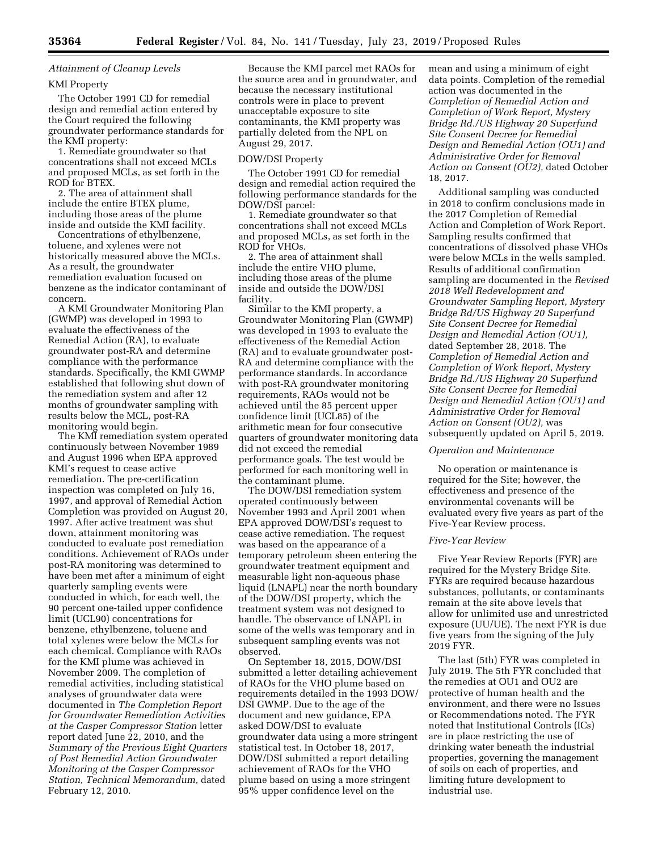# *Attainment of Cleanup Levels*

### KMI Property

The October 1991 CD for remedial design and remedial action entered by the Court required the following groundwater performance standards for the KMI property:

1. Remediate groundwater so that concentrations shall not exceed MCLs and proposed MCLs, as set forth in the ROD for BTEX.

2. The area of attainment shall include the entire BTEX plume, including those areas of the plume inside and outside the KMI facility.

Concentrations of ethylbenzene, toluene, and xylenes were not historically measured above the MCLs. As a result, the groundwater remediation evaluation focused on benzene as the indicator contaminant of concern.

A KMI Groundwater Monitoring Plan (GWMP) was developed in 1993 to evaluate the effectiveness of the Remedial Action (RA), to evaluate groundwater post-RA and determine compliance with the performance standards. Specifically, the KMI GWMP established that following shut down of the remediation system and after 12 months of groundwater sampling with results below the MCL, post-RA monitoring would begin.

The KMI remediation system operated continuously between November 1989 and August 1996 when EPA approved KMI's request to cease active remediation. The pre-certification inspection was completed on July 16, 1997, and approval of Remedial Action Completion was provided on August 20, 1997. After active treatment was shut down, attainment monitoring was conducted to evaluate post remediation conditions. Achievement of RAOs under post-RA monitoring was determined to have been met after a minimum of eight quarterly sampling events were conducted in which, for each well, the 90 percent one-tailed upper confidence limit (UCL90) concentrations for benzene, ethylbenzene, toluene and total xylenes were below the MCLs for each chemical. Compliance with RAOs for the KMI plume was achieved in November 2009. The completion of remedial activities, including statistical analyses of groundwater data were documented in *The Completion Report for Groundwater Remediation Activities at the Casper Compressor Station* letter report dated June 22, 2010, and the *Summary of the Previous Eight Quarters of Post Remedial Action Groundwater Monitoring at the Casper Compressor Station, Technical Memorandum,* dated February 12, 2010.

Because the KMI parcel met RAOs for the source area and in groundwater, and because the necessary institutional controls were in place to prevent unacceptable exposure to site contaminants, the KMI property was partially deleted from the NPL on August 29, 2017.

### DOW/DSI Property

The October 1991 CD for remedial design and remedial action required the following performance standards for the DOW/DSI parcel:

1. Remediate groundwater so that concentrations shall not exceed MCLs and proposed MCLs, as set forth in the ROD for VHOs.

2. The area of attainment shall include the entire VHO plume, including those areas of the plume inside and outside the DOW/DSI facility.

Similar to the KMI property, a Groundwater Monitoring Plan (GWMP) was developed in 1993 to evaluate the effectiveness of the Remedial Action (RA) and to evaluate groundwater post-RA and determine compliance with the performance standards. In accordance with post-RA groundwater monitoring requirements, RAOs would not be achieved until the 85 percent upper confidence limit (UCL85) of the arithmetic mean for four consecutive quarters of groundwater monitoring data did not exceed the remedial performance goals. The test would be performed for each monitoring well in the contaminant plume.

The DOW/DSI remediation system operated continuously between November 1993 and April 2001 when EPA approved DOW/DSI's request to cease active remediation. The request was based on the appearance of a temporary petroleum sheen entering the groundwater treatment equipment and measurable light non-aqueous phase liquid (LNAPL) near the north boundary of the DOW/DSI property, which the treatment system was not designed to handle. The observance of LNAPL in some of the wells was temporary and in subsequent sampling events was not observed.

On September 18, 2015, DOW/DSI submitted a letter detailing achievement of RAOs for the VHO plume based on requirements detailed in the 1993 DOW/ DSI GWMP. Due to the age of the document and new guidance, EPA asked DOW/DSI to evaluate groundwater data using a more stringent statistical test. In October 18, 2017, DOW/DSI submitted a report detailing achievement of RAOs for the VHO plume based on using a more stringent 95% upper confidence level on the

mean and using a minimum of eight data points. Completion of the remedial action was documented in the *Completion of Remedial Action and Completion of Work Report, Mystery Bridge Rd./US Highway 20 Superfund Site Consent Decree for Remedial Design and Remedial Action (OU1) and Administrative Order for Removal Action on Consent (OU2),* dated October 18, 2017.

Additional sampling was conducted in 2018 to confirm conclusions made in the 2017 Completion of Remedial Action and Completion of Work Report. Sampling results confirmed that concentrations of dissolved phase VHOs were below MCLs in the wells sampled. Results of additional confirmation sampling are documented in the *Revised 2018 Well Redevelopment and Groundwater Sampling Report, Mystery Bridge Rd/US Highway 20 Superfund Site Consent Decree for Remedial Design and Remedial Action (OU1),*  dated September 28, 2018. The *Completion of Remedial Action and Completion of Work Report, Mystery Bridge Rd./US Highway 20 Superfund Site Consent Decree for Remedial Design and Remedial Action (OU1) and Administrative Order for Removal Action on Consent (OU2),* was subsequently updated on April 5, 2019.

# *Operation and Maintenance*

No operation or maintenance is required for the Site; however, the effectiveness and presence of the environmental covenants will be evaluated every five years as part of the Five-Year Review process.

#### *Five-Year Review*

Five Year Review Reports (FYR) are required for the Mystery Bridge Site. FYRs are required because hazardous substances, pollutants, or contaminants remain at the site above levels that allow for unlimited use and unrestricted exposure (UU/UE). The next FYR is due five years from the signing of the July 2019 FYR.

The last (5th) FYR was completed in July 2019. The 5th FYR concluded that the remedies at OU1 and OU2 are protective of human health and the environment, and there were no Issues or Recommendations noted. The FYR noted that Institutional Controls (ICs) are in place restricting the use of drinking water beneath the industrial properties, governing the management of soils on each of properties, and limiting future development to industrial use.